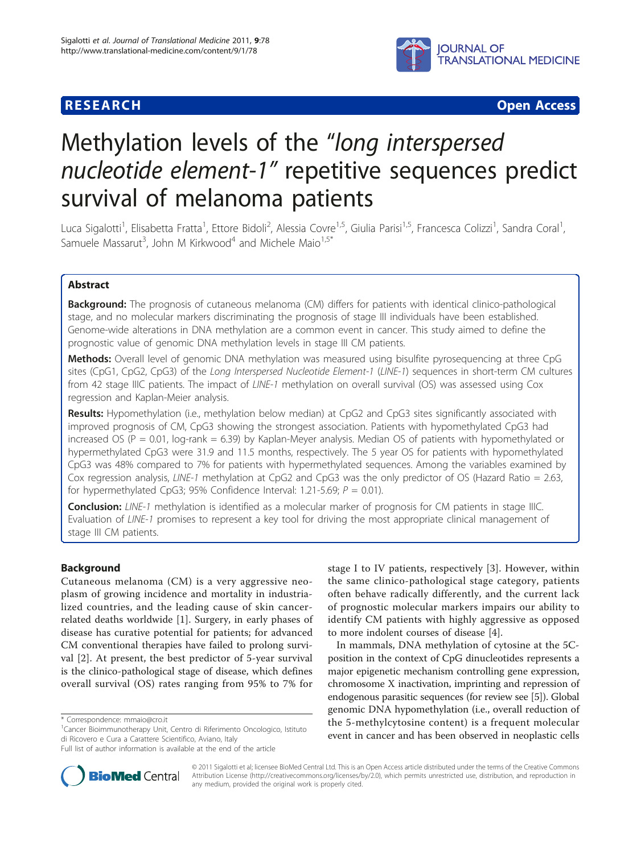

**RESEARCH CONSTRUCTION CONSTRUCTS** 

# Methylation levels of the "long interspersed nucleotide element-1" repetitive sequences predict survival of melanoma patients

Luca Sigalotti<sup>1</sup>, Elisabetta Fratta<sup>1</sup>, Ettore Bidoli<sup>2</sup>, Alessia Covre<sup>1,5</sup>, Giulia Parisi<sup>1,5</sup>, Francesca Colizzi<sup>1</sup>, Sandra Coral<sup>1</sup> , Samuele Massarut<sup>3</sup>, John M Kirkwood<sup>4</sup> and Michele Maio<sup>1,5\*</sup>

# Abstract

**Background:** The prognosis of cutaneous melanoma (CM) differs for patients with identical clinico-pathological stage, and no molecular markers discriminating the prognosis of stage III individuals have been established. Genome-wide alterations in DNA methylation are a common event in cancer. This study aimed to define the prognostic value of genomic DNA methylation levels in stage III CM patients.

Methods: Overall level of genomic DNA methylation was measured using bisulfite pyrosequencing at three CpG sites (CpG1, CpG2, CpG3) of the Long Interspersed Nucleotide Element-1 (LINE-1) sequences in short-term CM cultures from 42 stage IIIC patients. The impact of LINE-1 methylation on overall survival (OS) was assessed using Cox regression and Kaplan-Meier analysis.

Results: Hypomethylation (i.e., methylation below median) at CpG2 and CpG3 sites significantly associated with improved prognosis of CM, CpG3 showing the strongest association. Patients with hypomethylated CpG3 had increased OS ( $P = 0.01$ , log-rank = 6.39) by Kaplan-Meyer analysis. Median OS of patients with hypomethylated or hypermethylated CpG3 were 31.9 and 11.5 months, respectively. The 5 year OS for patients with hypomethylated CpG3 was 48% compared to 7% for patients with hypermethylated sequences. Among the variables examined by Cox regression analysis, LINE-1 methylation at CpG2 and CpG3 was the only predictor of OS (Hazard Ratio = 2.63, for hypermethylated CpG3; 95% Confidence Interval: 1.21-5.69;  $P = 0.01$ ).

Conclusion: LINE-1 methylation is identified as a molecular marker of prognosis for CM patients in stage IIIC. Evaluation of LINE-1 promises to represent a key tool for driving the most appropriate clinical management of stage III CM patients.

# Background

Cutaneous melanoma (CM) is a very aggressive neoplasm of growing incidence and mortality in industrialized countries, and the leading cause of skin cancerrelated deaths worldwide [\[1](#page-8-0)]. Surgery, in early phases of disease has curative potential for patients; for advanced CM conventional therapies have failed to prolong survival [[2](#page-8-0)]. At present, the best predictor of 5-year survival is the clinico-pathological stage of disease, which defines overall survival (OS) rates ranging from 95% to 7% for

stage I to IV patients, respectively [\[3](#page-8-0)]. However, within the same clinico-pathological stage category, patients often behave radically differently, and the current lack of prognostic molecular markers impairs our ability to identify CM patients with highly aggressive as opposed to more indolent courses of disease [\[4](#page-8-0)].

In mammals, DNA methylation of cytosine at the 5Cposition in the context of CpG dinucleotides represents a major epigenetic mechanism controlling gene expression, chromosome X inactivation, imprinting and repression of endogenous parasitic sequences (for review see [[5](#page-8-0)]). Global genomic DNA hypomethylation (i.e., overall reduction of the 5-methylcytosine content) is a frequent molecular event in cancer and has been observed in neoplastic cells



© 2011 Sigalotti et al; licensee BioMed Central Ltd. This is an Open Access article distributed under the terms of the Creative Commons Attribution License [\(http://creativecommons.org/licenses/by/2.0](http://creativecommons.org/licenses/by/2.0)), which permits unrestricted use, distribution, and reproduction in any medium, provided the original work is properly cited.

<sup>\*</sup> Correspondence: [mmaio@cro.it](mailto:mmaio@cro.it)

<sup>&</sup>lt;sup>1</sup> Cancer Bioimmunotherapy Unit, Centro di Riferimento Oncologico, Istituto di Ricovero e Cura a Carattere Scientifico, Aviano, Italy

Full list of author information is available at the end of the article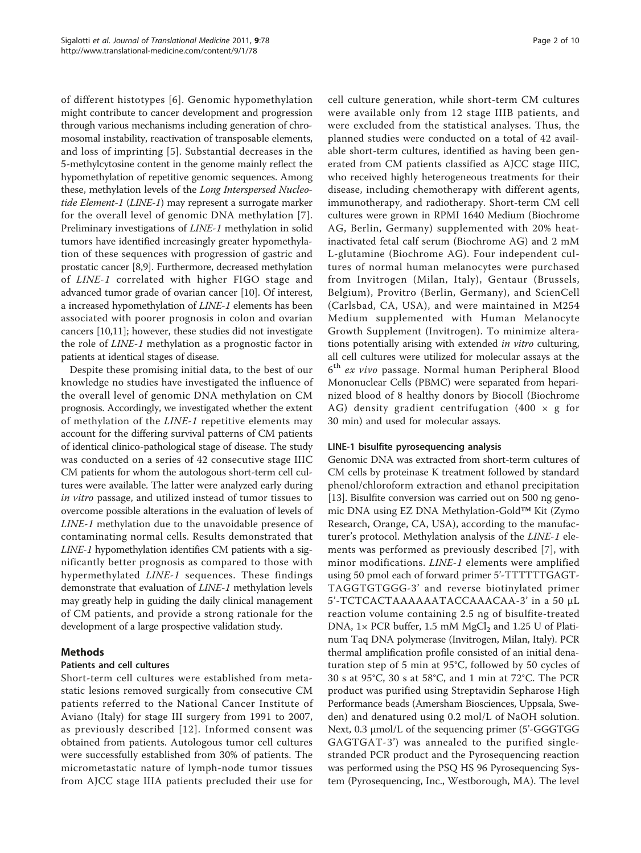of different histotypes [[6](#page-8-0)]. Genomic hypomethylation might contribute to cancer development and progression through various mechanisms including generation of chromosomal instability, reactivation of transposable elements, and loss of imprinting [[5](#page-8-0)]. Substantial decreases in the 5-methylcytosine content in the genome mainly reflect the hypomethylation of repetitive genomic sequences. Among these, methylation levels of the Long Interspersed Nucleotide Element-1 (LINE-1) may represent a surrogate marker for the overall level of genomic DNA methylation [[7\]](#page-8-0). Preliminary investigations of LINE-1 methylation in solid tumors have identified increasingly greater hypomethylation of these sequences with progression of gastric and prostatic cancer [\[8,9\]](#page-8-0). Furthermore, decreased methylation of LINE-1 correlated with higher FIGO stage and advanced tumor grade of ovarian cancer [[10\]](#page-8-0). Of interest, a increased hypomethylation of LINE-1 elements has been associated with poorer prognosis in colon and ovarian cancers [[10,11](#page-8-0)]; however, these studies did not investigate the role of LINE-1 methylation as a prognostic factor in patients at identical stages of disease.

Despite these promising initial data, to the best of our knowledge no studies have investigated the influence of the overall level of genomic DNA methylation on CM prognosis. Accordingly, we investigated whether the extent of methylation of the LINE-1 repetitive elements may account for the differing survival patterns of CM patients of identical clinico-pathological stage of disease. The study was conducted on a series of 42 consecutive stage IIIC CM patients for whom the autologous short-term cell cultures were available. The latter were analyzed early during in vitro passage, and utilized instead of tumor tissues to overcome possible alterations in the evaluation of levels of LINE-1 methylation due to the unavoidable presence of contaminating normal cells. Results demonstrated that LINE-1 hypomethylation identifies CM patients with a significantly better prognosis as compared to those with hypermethylated LINE-1 sequences. These findings demonstrate that evaluation of LINE-1 methylation levels may greatly help in guiding the daily clinical management of CM patients, and provide a strong rationale for the development of a large prospective validation study.

# Methods

# Patients and cell cultures

Short-term cell cultures were established from metastatic lesions removed surgically from consecutive CM patients referred to the National Cancer Institute of Aviano (Italy) for stage III surgery from 1991 to 2007, as previously described [[12](#page-8-0)]. Informed consent was obtained from patients. Autologous tumor cell cultures were successfully established from 30% of patients. The micrometastatic nature of lymph-node tumor tissues from AJCC stage IIIA patients precluded their use for cell culture generation, while short-term CM cultures were available only from 12 stage IIIB patients, and were excluded from the statistical analyses. Thus, the planned studies were conducted on a total of 42 available short-term cultures, identified as having been generated from CM patients classified as AJCC stage IIIC, who received highly heterogeneous treatments for their disease, including chemotherapy with different agents, immunotherapy, and radiotherapy. Short-term CM cell cultures were grown in RPMI 1640 Medium (Biochrome AG, Berlin, Germany) supplemented with 20% heatinactivated fetal calf serum (Biochrome AG) and 2 mM L-glutamine (Biochrome AG). Four independent cultures of normal human melanocytes were purchased from Invitrogen (Milan, Italy), Gentaur (Brussels, Belgium), Provitro (Berlin, Germany), and ScienCell (Carlsbad, CA, USA), and were maintained in M254 Medium supplemented with Human Melanocyte Growth Supplement (Invitrogen). To minimize alterations potentially arising with extended in vitro culturing, all cell cultures were utilized for molecular assays at the 6th ex vivo passage. Normal human Peripheral Blood Mononuclear Cells (PBMC) were separated from heparinized blood of 8 healthy donors by Biocoll (Biochrome AG) density gradient centrifugation (400  $\times$  g for 30 min) and used for molecular assays.

# LINE-1 bisulfite pyrosequencing analysis

Genomic DNA was extracted from short-term cultures of CM cells by proteinase K treatment followed by standard phenol/chloroform extraction and ethanol precipitation [[13\]](#page-8-0). Bisulfite conversion was carried out on 500 ng genomic DNA using EZ DNA Methylation-Gold™ Kit (Zymo Research, Orange, CA, USA), according to the manufacturer's protocol. Methylation analysis of the LINE-1 elements was performed as previously described [[7](#page-8-0)], with minor modifications. LINE-1 elements were amplified using 50 pmol each of forward primer 5'-TTTTTTGAGT-TAGGTGTGGG-3' and reverse biotinylated primer 5'-TCTCACTAAAAAATACCAAACAA-3' in a 50 μL reaction volume containing 2.5 ng of bisulfite-treated DNA,  $1 \times$  PCR buffer,  $1.5$  mM MgCl<sub>2</sub> and  $1.25$  U of Platinum Taq DNA polymerase (Invitrogen, Milan, Italy). PCR thermal amplification profile consisted of an initial denaturation step of 5 min at 95°C, followed by 50 cycles of 30 s at 95°C, 30 s at 58°C, and 1 min at 72°C. The PCR product was purified using Streptavidin Sepharose High Performance beads (Amersham Biosciences, Uppsala, Sweden) and denatured using 0.2 mol/L of NaOH solution. Next, 0.3 μmol/L of the sequencing primer (5'-GGGTGG GAGTGAT-3') was annealed to the purified singlestranded PCR product and the Pyrosequencing reaction was performed using the PSQ HS 96 Pyrosequencing System (Pyrosequencing, Inc., Westborough, MA). The level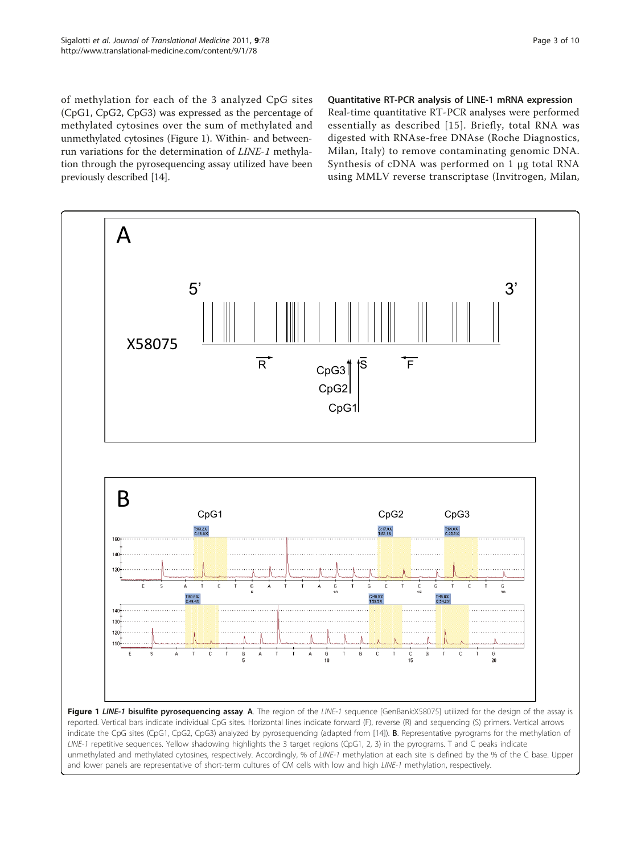<span id="page-2-0"></span>of methylation for each of the 3 analyzed CpG sites (CpG1, CpG2, CpG3) was expressed as the percentage of methylated cytosines over the sum of methylated and unmethylated cytosines (Figure 1). Within- and betweenrun variations for the determination of LINE-1 methylation through the pyrosequencing assay utilized have been previously described [\[14\]](#page-8-0).

Quantitative RT-PCR analysis of LINE-1 mRNA expression

Real-time quantitative RT-PCR analyses were performed essentially as described [[15](#page-8-0)]. Briefly, total RNA was digested with RNAse-free DNAse (Roche Diagnostics, Milan, Italy) to remove contaminating genomic DNA. Synthesis of cDNA was performed on 1 μg total RNA using MMLV reverse transcriptase (Invitrogen, Milan,



and lower panels are representative of short-term cultures of CM cells with low and high LINE-1 methylation, respectively.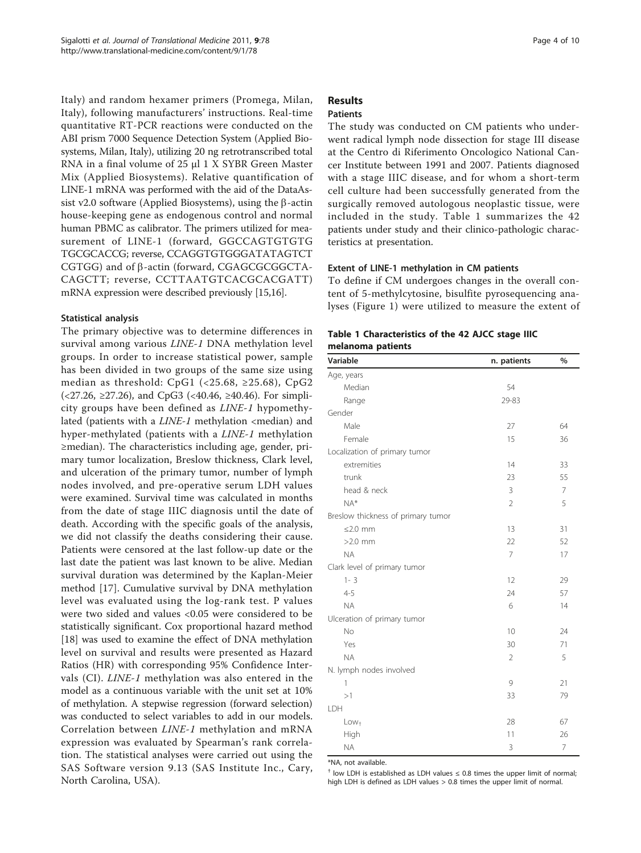Italy) and random hexamer primers (Promega, Milan, Italy), following manufacturers' instructions. Real-time quantitative RT-PCR reactions were conducted on the ABI prism 7000 Sequence Detection System (Applied Biosystems, Milan, Italy), utilizing 20 ng retrotranscribed total RNA in a final volume of 25 μl 1 X SYBR Green Master Mix (Applied Biosystems). Relative quantification of LINE-1 mRNA was performed with the aid of the DataAssist v2.0 software (Applied Biosystems), using the  $\beta$ -actin house-keeping gene as endogenous control and normal human PBMC as calibrator. The primers utilized for measurement of LINE-1 (forward, GGCCAGTGTGTG TGCGCACCG; reverse, CCAGGTGTGGGATATAGTCT CGTGG) and of  $\beta$ -actin (forward, CGAGCGCGGCTA-CAGCTT; reverse, CCTTAATGTCACGCACGATT) mRNA expression were described previously [\[15,16](#page-8-0)].

## Statistical analysis

The primary objective was to determine differences in survival among various LINE-1 DNA methylation level groups. In order to increase statistical power, sample has been divided in two groups of the same size using median as threshold: CpG1 (<25.68,  $\geq$ 25.68), CpG2  $\left($  <27.26, ≥27.26), and CpG3 (<40.46, ≥40.46). For simplicity groups have been defined as LINE-1 hypomethylated (patients with a  $LINE-1$  methylation <median) and hyper-methylated (patients with a LINE-1 methylation ≥median). The characteristics including age, gender, primary tumor localization, Breslow thickness, Clark level, and ulceration of the primary tumor, number of lymph nodes involved, and pre-operative serum LDH values were examined. Survival time was calculated in months from the date of stage IIIC diagnosis until the date of death. According with the specific goals of the analysis, we did not classify the deaths considering their cause. Patients were censored at the last follow-up date or the last date the patient was last known to be alive. Median survival duration was determined by the Kaplan-Meier method [[17\]](#page-8-0). Cumulative survival by DNA methylation level was evaluated using the log-rank test. P values were two sided and values <0.05 were considered to be statistically significant. Cox proportional hazard method [[18\]](#page-8-0) was used to examine the effect of DNA methylation level on survival and results were presented as Hazard Ratios (HR) with corresponding 95% Confidence Intervals (CI). LINE-1 methylation was also entered in the model as a continuous variable with the unit set at 10% of methylation. A stepwise regression (forward selection) was conducted to select variables to add in our models. Correlation between LINE-1 methylation and mRNA expression was evaluated by Spearman's rank correlation. The statistical analyses were carried out using the SAS Software version 9.13 (SAS Institute Inc., Cary, North Carolina, USA).

## Results Patients

The study was conducted on CM patients who underwent radical lymph node dissection for stage III disease at the Centro di Riferimento Oncologico National Cancer Institute between 1991 and 2007. Patients diagnosed with a stage IIIC disease, and for whom a short-term cell culture had been successfully generated from the surgically removed autologous neoplastic tissue, were included in the study. Table 1 summarizes the 42 patients under study and their clinico-pathologic characteristics at presentation.

## Extent of LINE-1 methylation in CM patients

To define if CM undergoes changes in the overall content of 5-methylcytosine, bisulfite pyrosequencing analyses (Figure [1\)](#page-2-0) were utilized to measure the extent of

| Table 1 Characteristics of the 42 AJCC stage IIIC |  |  |
|---------------------------------------------------|--|--|
| melanoma patients                                 |  |  |

| Variable                           | n. patients    | %              |
|------------------------------------|----------------|----------------|
| Age, years                         |                |                |
| Median                             | 54             |                |
| Range                              | 29-83          |                |
| Gender                             |                |                |
| Male                               | 27             | 64             |
| Female                             | 15             | 36             |
| Localization of primary tumor      |                |                |
| extremities                        | 14             | 33             |
| trunk                              | 23             | 55             |
| head & neck                        | 3              | $\overline{7}$ |
| $NA*$                              | $\overline{2}$ | 5              |
| Breslow thickness of primary tumor |                |                |
| $\leq$ 2.0 mm                      | 13             | 31             |
| $>2.0$ mm                          | 22             | 52             |
| <b>NA</b>                          | $\overline{7}$ | 17             |
| Clark level of primary tumor       |                |                |
| $1 - 3$                            | 12             | 29             |
| $4 - 5$                            | 24             | 57             |
| <b>NA</b>                          | 6              | 14             |
| Ulceration of primary tumor        |                |                |
| <b>No</b>                          | 10             | 24             |
| Yes                                | 30             | 71             |
| <b>NA</b>                          | $\overline{2}$ | 5              |
| N. lymph nodes involved            |                |                |
| 1                                  | 9              | 21             |
| >1                                 | 33             | 79             |
| LDH                                |                |                |
| $Low+$                             | 28             | 67             |
| High                               | 11             | 26             |
| <b>NA</b>                          | 3              | $\overline{7}$ |

\*NA, not available.

 $<sup>†</sup>$  low LDH is established as LDH values  $\leq$  0.8 times the upper limit of normal;</sup> high LDH is defined as LDH values > 0.8 times the upper limit of normal.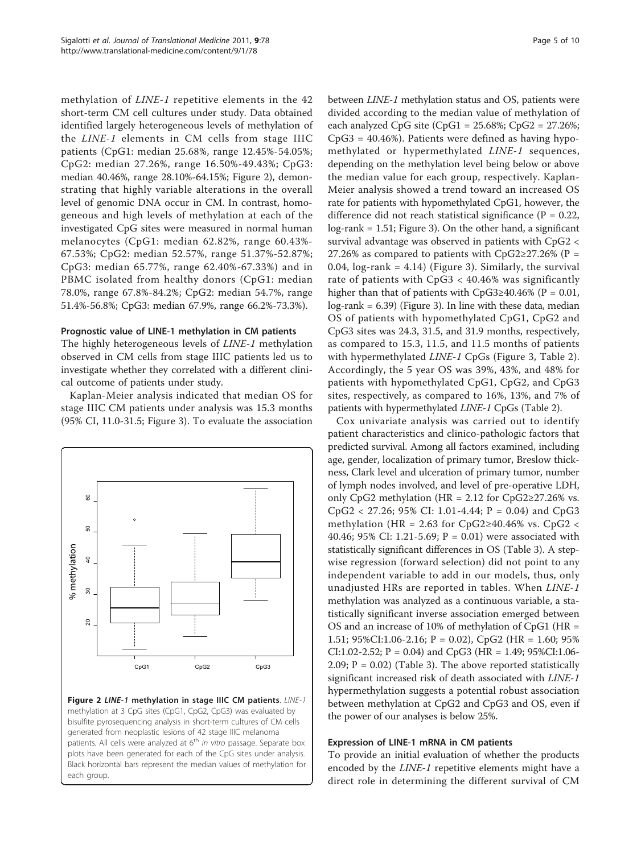methylation of LINE-1 repetitive elements in the 42 short-term CM cell cultures under study. Data obtained identified largely heterogeneous levels of methylation of the LINE-1 elements in CM cells from stage IIIC patients (CpG1: median 25.68%, range 12.45%-54.05%; CpG2: median 27.26%, range 16.50%-49.43%; CpG3: median 40.46%, range 28.10%-64.15%; Figure 2), demonstrating that highly variable alterations in the overall level of genomic DNA occur in CM. In contrast, homogeneous and high levels of methylation at each of the investigated CpG sites were measured in normal human melanocytes (CpG1: median 62.82%, range 60.43%- 67.53%; CpG2: median 52.57%, range 51.37%-52.87%; CpG3: median 65.77%, range 62.40%-67.33%) and in PBMC isolated from healthy donors (CpG1: median 78.0%, range 67.8%-84.2%; CpG2: median 54.7%, range 51.4%-56.8%; CpG3: median 67.9%, range 66.2%-73.3%).

#### Prognostic value of LINE-1 methylation in CM patients

The highly heterogeneous levels of LINE-1 methylation observed in CM cells from stage IIIC patients led us to investigate whether they correlated with a different clinical outcome of patients under study.

Kaplan-Meier analysis indicated that median OS for stage IIIC CM patients under analysis was 15.3 months (95% CI, 11.0-31.5; Figure [3\)](#page-5-0). To evaluate the association



Figure 2 LINE-1 methylation in stage IIIC CM patients. LINE-1 methylation at 3 CpG sites (CpG1, CpG2, CpG3) was evaluated by bisulfite pyrosequencing analysis in short-term cultures of CM cells generated from neoplastic lesions of 42 stage IIIC melanoma patients. All cells were analyzed at  $6<sup>th</sup>$  in vitro passage. Separate box plots have been generated for each of the CpG sites under analysis. Black horizontal bars represent the median values of methylation for each group.

between LINE-1 methylation status and OS, patients were divided according to the median value of methylation of each analyzed CpG site (CpG1 = 25.68%; CpG2 = 27.26%; CpG3 = 40.46%). Patients were defined as having hypomethylated or hypermethylated LINE-1 sequences, depending on the methylation level being below or above the median value for each group, respectively. Kaplan-Meier analysis showed a trend toward an increased OS rate for patients with hypomethylated CpG1, however, the difference did not reach statistical significance ( $P = 0.22$ , log-rank = 1.51; Figure [3](#page-5-0)). On the other hand, a significant survival advantage was observed in patients with CpG2 < 27.26% as compared to patients with CpG2≥27.26% (P = 0.04,  $log-rank = 4.14$ ) (Figure [3\)](#page-5-0). Similarly, the survival rate of patients with CpG3 < 40.46% was significantly higher than that of patients with  $CpG3≥40.46%$  (P = 0.01, log-rank = 6.39) (Figure [3](#page-5-0)). In line with these data, median OS of patients with hypomethylated CpG1, CpG2 and CpG3 sites was 24.3, 31.5, and 31.9 months, respectively, as compared to 15.3, 11.5, and 11.5 months of patients with hypermethylated LINE-1 CpGs (Figure [3](#page-5-0), Table [2](#page-5-0)). Accordingly, the 5 year OS was 39%, 43%, and 48% for patients with hypomethylated CpG1, CpG2, and CpG3 sites, respectively, as compared to 16%, 13%, and 7% of patients with hypermethylated LINE-1 CpGs (Table [2](#page-5-0)).

Cox univariate analysis was carried out to identify patient characteristics and clinico-pathologic factors that predicted survival. Among all factors examined, including age, gender, localization of primary tumor, Breslow thickness, Clark level and ulceration of primary tumor, number of lymph nodes involved, and level of pre-operative LDH, only CpG2 methylation (HR =  $2.12$  for CpG2≥27.26% vs.  $CpG2 < 27.26$ ; 95% CI: 1.01-4.44; P = 0.04) and CpG3 methylation (HR = 2.63 for CpG2≥40.46% vs. CpG2 < 40.46; 95% CI: 1.21-5.69;  $P = 0.01$ ) were associated with statistically significant differences in OS (Table [3](#page-6-0)). A stepwise regression (forward selection) did not point to any independent variable to add in our models, thus, only unadjusted HRs are reported in tables. When LINE-1 methylation was analyzed as a continuous variable, a statistically significant inverse association emerged between OS and an increase of 10% of methylation of CpG1 (HR = 1.51; 95%CI:1.06-2.16; P = 0.02), CpG2 (HR = 1.60; 95% CI:1.02-2.52; P = 0.04) and CpG3 (HR = 1.49; 95%CI:1.06-2.09;  $P = 0.02$ ) (Table [3](#page-6-0)). The above reported statistically significant increased risk of death associated with LINE-1 hypermethylation suggests a potential robust association between methylation at CpG2 and CpG3 and OS, even if the power of our analyses is below 25%.

# Expression of LINE-1 mRNA in CM patients

To provide an initial evaluation of whether the products encoded by the LINE-1 repetitive elements might have a direct role in determining the different survival of CM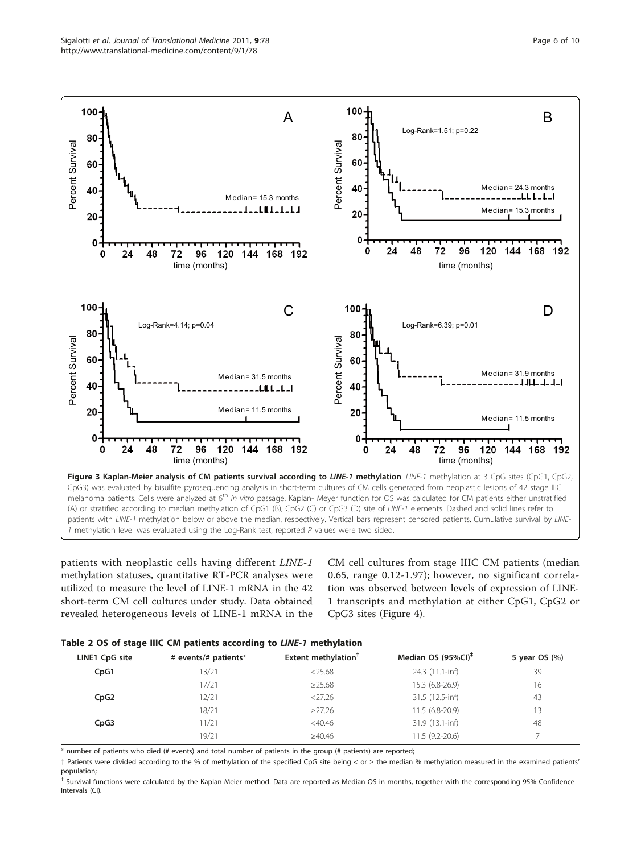<span id="page-5-0"></span>

patients with neoplastic cells having different LINE-1 methylation statuses, quantitative RT-PCR analyses were utilized to measure the level of LINE-1 mRNA in the 42 short-term CM cell cultures under study. Data obtained revealed heterogeneous levels of LINE-1 mRNA in the

CM cell cultures from stage IIIC CM patients (median 0.65, range 0.12-1.97); however, no significant correlation was observed between levels of expression of LINE-1 transcripts and methylation at either CpG1, CpG2 or CpG3 sites (Figure [4\)](#page-7-0).

|  |  |  | Table 2 OS of stage IIIC CM patients according to LINE-1 methylation |  |  |
|--|--|--|----------------------------------------------------------------------|--|--|
|--|--|--|----------------------------------------------------------------------|--|--|

| _              |                      |                        |                                |               |
|----------------|----------------------|------------------------|--------------------------------|---------------|
| LINE1 CpG site | # events/# patients* | Extent methylation $†$ | Median OS (95%CI) <sup>‡</sup> | 5 year OS (%) |
| CpG1           | 13/21                | $<$ 25.68              | 24.3 (11.1-inf)                | 39            |
|                | 17/21                | $\geq$ 25.68           | 15.3 (6.8-26.9)                | 16            |
| CpG2           | 12/21                | $<$ 27.26              | 31.5 (12.5-inf)                | 43            |
|                | 18/21                | $\geq$ 27.26           | $11.5(6.8-20.9)$               | 13            |
| CpG3           | 11/21                | $<$ 40.46              | 31.9 (13.1-inf)                | 48            |
|                | 19/21                | $\geq 40.46$           | $11.5(9.2-20.6)$               |               |
|                |                      |                        |                                |               |

\* number of patients who died (# events) and total number of patients in the group (# patients) are reported;

† Patients were divided according to the % of methylation of the specified CpG site being < or ≥ the median % methylation measured in the examined patients' population;

Survival functions were calculated by the Kaplan-Meier method. Data are reported as Median OS in months, together with the corresponding 95% Confidence Intervals (CI).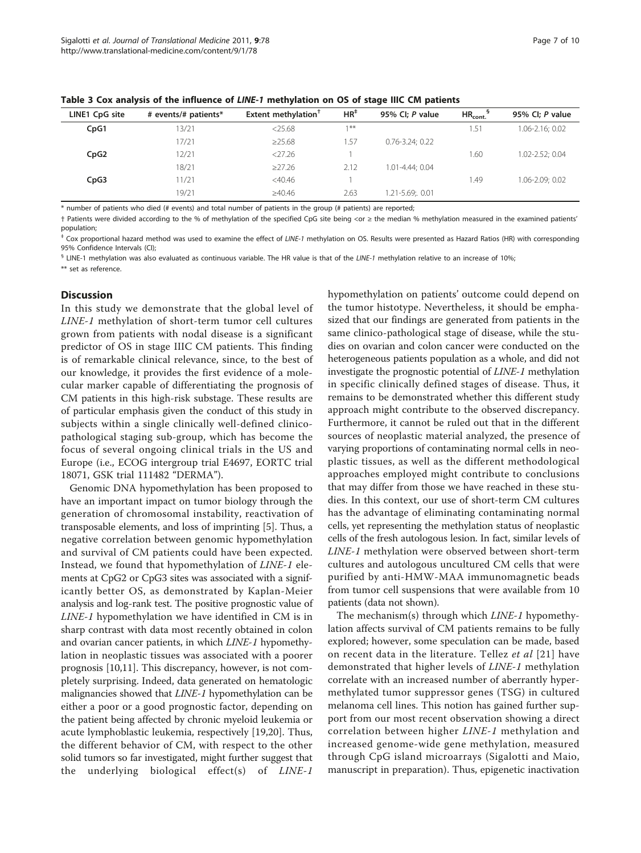| LINE1 CpG site | # events/# patients* | Extent methylation <sup>1</sup> | $HR^*$ | 95% CI; P value      | $HR_{cont.}$ | 95% CI; P value |
|----------------|----------------------|---------------------------------|--------|----------------------|--------------|-----------------|
| CpG1           | 13/21                | < 25.68                         | $1$ ** |                      | .51          | 1.06-2.16; 0.02 |
|                | 17/21                | $\geq$ 25.68                    | 1.57   | $0.76 - 3.24$ ; 0.22 |              |                 |
| CpG2           | 12/21                | 27.26                           |        |                      | 1.60         | 1.02-2.52: 0.04 |
|                | 18/21                | $\geq$ 27.26                    | 2.12   | 1.01-4.44: 0.04      |              |                 |
| CpG3           | 11/21                | $<$ 40.46                       |        |                      | <b>.49</b>   | 1.06-2.09; 0.02 |
|                | 19/21                | $\geq 40.46$                    | 2.63   | 1.21-5.69; 0.01      |              |                 |

<span id="page-6-0"></span>Table 3 Cox analysis of the influence of LINE-1 methylation on OS of stage IIIC CM patients

\* number of patients who died (# events) and total number of patients in the group (# patients) are reported;

† Patients were divided according to the % of methylation of the specified CpG site being <or ≥ the median % methylation measured in the examined patients' population;

‡ Cox proportional hazard method was used to examine the effect of LINE-1 methylation on OS. Results were presented as Hazard Ratios (HR) with corresponding 95% Confidence Intervals (CI);

 $$$  LINE-1 methylation was also evaluated as continuous variable. The HR value is that of the LINE-1 methylation relative to an increase of 10%;

\*\* set as reference.

#### **Discussion**

In this study we demonstrate that the global level of LINE-1 methylation of short-term tumor cell cultures grown from patients with nodal disease is a significant predictor of OS in stage IIIC CM patients. This finding is of remarkable clinical relevance, since, to the best of our knowledge, it provides the first evidence of a molecular marker capable of differentiating the prognosis of CM patients in this high-risk substage. These results are of particular emphasis given the conduct of this study in subjects within a single clinically well-defined clinicopathological staging sub-group, which has become the focus of several ongoing clinical trials in the US and Europe (i.e., ECOG intergroup trial E4697, EORTC trial 18071, GSK trial 111482 "DERMA").

Genomic DNA hypomethylation has been proposed to have an important impact on tumor biology through the generation of chromosomal instability, reactivation of transposable elements, and loss of imprinting [\[5](#page-8-0)]. Thus, a negative correlation between genomic hypomethylation and survival of CM patients could have been expected. Instead, we found that hypomethylation of LINE-1 elements at CpG2 or CpG3 sites was associated with a significantly better OS, as demonstrated by Kaplan-Meier analysis and log-rank test. The positive prognostic value of LINE-1 hypomethylation we have identified in CM is in sharp contrast with data most recently obtained in colon and ovarian cancer patients, in which LINE-1 hypomethylation in neoplastic tissues was associated with a poorer prognosis [[10,11](#page-8-0)]. This discrepancy, however, is not completely surprising. Indeed, data generated on hematologic malignancies showed that LINE-1 hypomethylation can be either a poor or a good prognostic factor, depending on the patient being affected by chronic myeloid leukemia or acute lymphoblastic leukemia, respectively [\[19,20](#page-8-0)]. Thus, the different behavior of CM, with respect to the other solid tumors so far investigated, might further suggest that the underlying biological effect(s) of LINE-1 hypomethylation on patients' outcome could depend on the tumor histotype. Nevertheless, it should be emphasized that our findings are generated from patients in the same clinico-pathological stage of disease, while the studies on ovarian and colon cancer were conducted on the heterogeneous patients population as a whole, and did not investigate the prognostic potential of LINE-1 methylation in specific clinically defined stages of disease. Thus, it remains to be demonstrated whether this different study approach might contribute to the observed discrepancy. Furthermore, it cannot be ruled out that in the different sources of neoplastic material analyzed, the presence of varying proportions of contaminating normal cells in neoplastic tissues, as well as the different methodological approaches employed might contribute to conclusions that may differ from those we have reached in these studies. In this context, our use of short-term CM cultures has the advantage of eliminating contaminating normal cells, yet representing the methylation status of neoplastic cells of the fresh autologous lesion. In fact, similar levels of LINE-1 methylation were observed between short-term cultures and autologous uncultured CM cells that were purified by anti-HMW-MAA immunomagnetic beads from tumor cell suspensions that were available from 10 patients (data not shown).

The mechanism(s) through which LINE-1 hypomethylation affects survival of CM patients remains to be fully explored; however, some speculation can be made, based on recent data in the literature. Tellez et al [[21](#page-8-0)] have demonstrated that higher levels of LINE-1 methylation correlate with an increased number of aberrantly hypermethylated tumor suppressor genes (TSG) in cultured melanoma cell lines. This notion has gained further support from our most recent observation showing a direct correlation between higher LINE-1 methylation and increased genome-wide gene methylation, measured through CpG island microarrays (Sigalotti and Maio, manuscript in preparation). Thus, epigenetic inactivation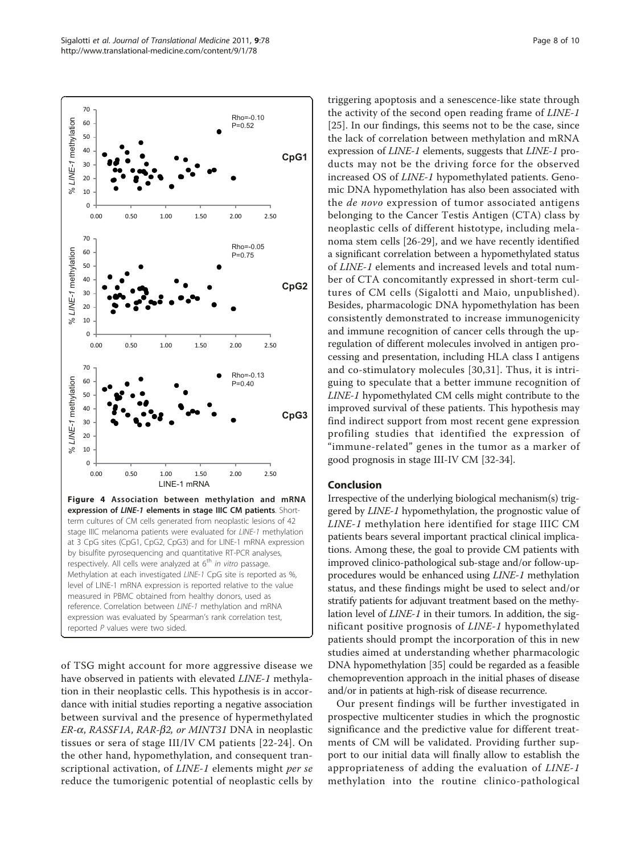<span id="page-7-0"></span>

of TSG might account for more aggressive disease we have observed in patients with elevated *LINE-1* methylation in their neoplastic cells. This hypothesis is in accordance with initial studies reporting a negative association between survival and the presence of hypermethylated  $ER-\alpha$ , RASSF1A, RAR- $\beta$ 2, or MINT31 DNA in neoplastic tissues or sera of stage III/IV CM patients [[22](#page-8-0)-[24](#page-8-0)]. On the other hand, hypomethylation, and consequent transcriptional activation, of LINE-1 elements might per se reduce the tumorigenic potential of neoplastic cells by

triggering apoptosis and a senescence-like state through the activity of the second open reading frame of LINE-1 [[25\]](#page-8-0). In our findings, this seems not to be the case, since the lack of correlation between methylation and mRNA expression of LINE-1 elements, suggests that LINE-1 products may not be the driving force for the observed increased OS of LINE-1 hypomethylated patients. Genomic DNA hypomethylation has also been associated with the *de novo* expression of tumor associated antigens belonging to the Cancer Testis Antigen (CTA) class by neoplastic cells of different histotype, including melanoma stem cells [[26](#page-8-0)[-29](#page-9-0)], and we have recently identified a significant correlation between a hypomethylated status of LINE-1 elements and increased levels and total number of CTA concomitantly expressed in short-term cultures of CM cells (Sigalotti and Maio, unpublished). Besides, pharmacologic DNA hypomethylation has been consistently demonstrated to increase immunogenicity and immune recognition of cancer cells through the upregulation of different molecules involved in antigen processing and presentation, including HLA class I antigens and co-stimulatory molecules [\[30,31](#page-9-0)]. Thus, it is intriguing to speculate that a better immune recognition of LINE-1 hypomethylated CM cells might contribute to the improved survival of these patients. This hypothesis may find indirect support from most recent gene expression profiling studies that identified the expression of "immune-related" genes in the tumor as a marker of good prognosis in stage III-IV CM [[32](#page-9-0)-[34\]](#page-9-0).

## Conclusion

Irrespective of the underlying biological mechanism(s) triggered by LINE-1 hypomethylation, the prognostic value of LINE-1 methylation here identified for stage IIIC CM patients bears several important practical clinical implications. Among these, the goal to provide CM patients with improved clinico-pathological sub-stage and/or follow-upprocedures would be enhanced using LINE-1 methylation status, and these findings might be used to select and/or stratify patients for adjuvant treatment based on the methylation level of LINE-1 in their tumors. In addition, the significant positive prognosis of LINE-1 hypomethylated patients should prompt the incorporation of this in new studies aimed at understanding whether pharmacologic DNA hypomethylation [[35](#page-9-0)] could be regarded as a feasible chemoprevention approach in the initial phases of disease and/or in patients at high-risk of disease recurrence.

Our present findings will be further investigated in prospective multicenter studies in which the prognostic significance and the predictive value for different treatments of CM will be validated. Providing further support to our initial data will finally allow to establish the appropriateness of adding the evaluation of LINE-1 methylation into the routine clinico-pathological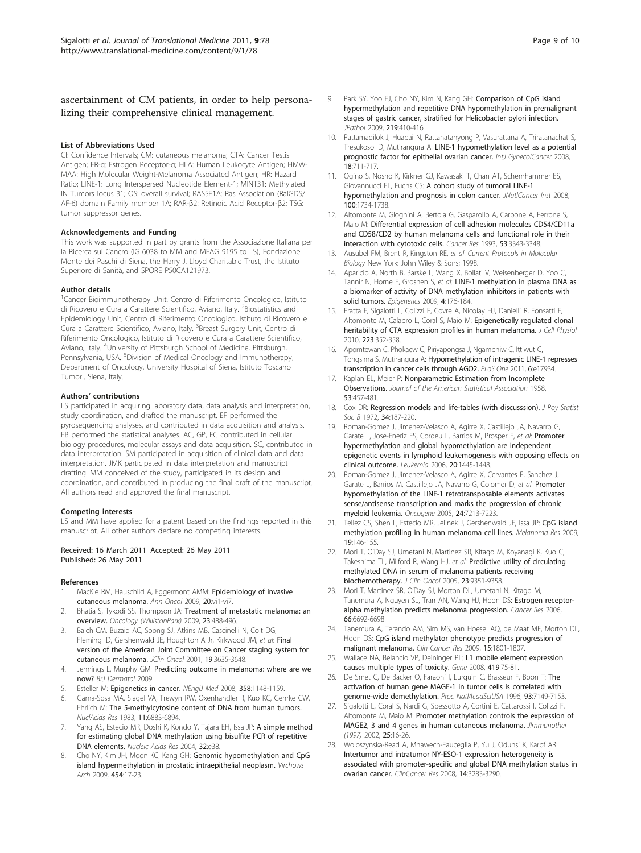<span id="page-8-0"></span>ascertainment of CM patients, in order to help personalizing their comprehensive clinical management.

#### List of Abbreviations Used

CI: Confidence Intervals; CM: cutaneous melanoma; CTA: Cancer Testis Antigen; ER-α: Estrogen Receptor-α; HLA: Human Leukocyte Antigen; HMW-MAA: High Molecular Weight-Melanoma Associated Antigen; HR: Hazard Ratio; LINE-1: Long Interspersed Nucleotide Element-1; MINT31: Methylated IN Tumors locus 31; OS: overall survival; RASSF1A: Ras Association (RalGDS/ AF-6) domain Family member 1A; RAR-β2: Retinoic Acid Receptor-β2; TSG: tumor suppressor genes.

#### Acknowledgements and Funding

This work was supported in part by grants from the Associazione Italiana per la Ricerca sul Cancro (IG 6038 to MM and MFAG 9195 to LS), Fondazione Monte dei Paschi di Siena, the Harry J. Lloyd Charitable Trust, the Istituto Superiore di Sanità, and SPORE P50CA121973.

#### Author details

<sup>1</sup> Cancer Bioimmunotherapy Unit, Centro di Riferimento Oncologico, Istituto di Ricovero e Cura a Carattere Scientifico, Aviano, Italy. <sup>2</sup>Biostatistics and Epidemiology Unit, Centro di Riferimento Oncologico, Istituto di Ricovero e Cura a Carattere Scientifico, Aviano, Italy. <sup>3</sup>Breast Surgery Unit, Centro di Riferimento Oncologico, Istituto di Ricovero e Cura a Carattere Scientifico, Aviano, Italy. <sup>4</sup>University of Pittsburgh School of Medicine, Pittsburgh, Pennsylvania, USA. <sup>5</sup>Division of Medical Oncology and Immunotherapy, Department of Oncology, University Hospital of Siena, Istituto Toscano Tumori, Siena, Italy.

#### Authors' contributions

LS participated in acquiring laboratory data, data analysis and interpretation, study coordination, and drafted the manuscript. EF performed the pyrosequencing analyses, and contributed in data acquisition and analysis. EB performed the statistical analyses. AC, GP, FC contributed in cellular biology procedures, molecular assays and data acquisition. SC, contributed in data interpretation. SM participated in acquisition of clinical data and data interpretation. JMK participated in data interpretation and manuscript drafting. MM conceived of the study, participated in its design and coordination, and contributed in producing the final draft of the manuscript. All authors read and approved the final manuscript.

#### Competing interests

LS and MM have applied for a patent based on the findings reported in this manuscript. All other authors declare no competing interests.

#### Received: 16 March 2011 Accepted: 26 May 2011 Published: 26 May 2011

#### References

- 1. MacKie RM, Hauschild A, Eggermont AMM: [Epidemiology of invasive](http://www.ncbi.nlm.nih.gov/pubmed/19617292?dopt=Abstract) [cutaneous melanoma.](http://www.ncbi.nlm.nih.gov/pubmed/19617292?dopt=Abstract) Ann Oncol 2009, 20:vi1-vi7.
- 2. Bhatia S, Tykodi SS, Thompson JA: Treatment of metastatic melanoma: an overview. Oncology (WillistonPark) 2009, 23:488-496.
- 3. Balch CM, Buzaid AC, Soong SJ, Atkins MB, Cascinelli N, Coit DG, Fleming ID, Gershenwald JE, Houghton A Jr, Kirkwood JM, et al: Final version of the American Joint Committee on Cancer staging system for cutaneous melanoma. JClin Oncol 2001, 19:3635-3648.
- 4. Jennings L, Murphy GM: Predicting outcome in melanoma: where are we now? BrJ Dermatol 2009.
- 5. Esteller M: Epigenetics in cancer. NEnglJ Med 2008, 358:1148-1159.
- 6. Gama-Sosa MA, Slagel VA, Trewyn RW, Oxenhandler R, Kuo KC, Gehrke CW, Ehrlich M: The 5-methylcytosine content of DNA from human tumors. NuclAcids Res 1983, 11:6883-6894.
- Yang AS, Estecio MR, Doshi K, Kondo Y, Tajara EH, Issa JP: [A simple method](http://www.ncbi.nlm.nih.gov/pubmed/14973332?dopt=Abstract) [for estimating global DNA methylation using bisulfite PCR of repetitive](http://www.ncbi.nlm.nih.gov/pubmed/14973332?dopt=Abstract) [DNA elements.](http://www.ncbi.nlm.nih.gov/pubmed/14973332?dopt=Abstract) Nucleic Acids Res 2004, 32:e38.
- Cho NY, Kim JH, Moon KC, Kang GH: [Genomic hypomethylation and CpG](http://www.ncbi.nlm.nih.gov/pubmed/19048291?dopt=Abstract) [island hypermethylation in prostatic intraepithelial neoplasm.](http://www.ncbi.nlm.nih.gov/pubmed/19048291?dopt=Abstract) Virchows Arch 2009, 454:17-23.
- 9. Park SY, Yoo EJ, Cho NY, Kim N, Kang GH: Comparison of CpG island hypermethylation and repetitive DNA hypomethylation in premalignant stages of gastric cancer, stratified for Helicobacter pylori infection. JPathol 2009, 219:410-416.
- 10. Pattamadilok J, Huapai N, Rattanatanyong P, Vasurattana A, Triratanachat S, Tresukosol D, Mutirangura A: LINE-1 hypomethylation level as a potential prognostic factor for epithelial ovarian cancer. IntJ GynecolCancer 2008, 18:711-717.
- 11. Ogino S, Nosho K, Kirkner GJ, Kawasaki T, Chan AT, Schernhammer ES, Giovannucci EL, Fuchs CS: A cohort study of tumoral LINE-1 hypomethylation and prognosis in colon cancer. JNatICancer Inst 2008, 100:1734-1738.
- 12. Altomonte M, Gloghini A, Bertola G, Gasparollo A, Carbone A, Ferrone S, Maio M: [Differential expression of cell adhesion molecules CD54/CD11a](http://www.ncbi.nlm.nih.gov/pubmed/7686816?dopt=Abstract) [and CD58/CD2 by human melanoma cells and functional role in their](http://www.ncbi.nlm.nih.gov/pubmed/7686816?dopt=Abstract) [interaction with cytotoxic cells.](http://www.ncbi.nlm.nih.gov/pubmed/7686816?dopt=Abstract) Cancer Res 1993, 53:3343-3348.
- 13. Ausubel FM, Brent R, Kingston RE, et al: Current Protocols in Molecular Biology New York: John Wiley & Sons; 1998.
- 14. Aparicio A, North B, Barske L, Wang X, Bollati V, Weisenberger D, Yoo C, Tannir N, Horne E, Groshen S, et al: [LINE-1 methylation in plasma DNA as](http://www.ncbi.nlm.nih.gov/pubmed/19421002?dopt=Abstract) [a biomarker of activity of DNA methylation inhibitors in patients with](http://www.ncbi.nlm.nih.gov/pubmed/19421002?dopt=Abstract) [solid tumors.](http://www.ncbi.nlm.nih.gov/pubmed/19421002?dopt=Abstract) Epigenetics 2009, 4:176-184.
- 15. Fratta E, Sigalotti L, Colizzi F, Covre A, Nicolay HJ, Danielli R, Fonsatti E, Altomonte M, Calabro L, Coral S, Maio M: [Epigenetically regulated clonal](http://www.ncbi.nlm.nih.gov/pubmed/20127705?dopt=Abstract) [heritability of CTA expression profiles in human melanoma.](http://www.ncbi.nlm.nih.gov/pubmed/20127705?dopt=Abstract) J Cell Physiol 2010, 223:352-358.
- 16. Aporntewan C, Phokaew C, Piriyapongsa J, Ngamphiw C, Ittiwut C, Tongsima S, Mutirangura A: [Hypomethylation of intragenic LINE-1 represses](http://www.ncbi.nlm.nih.gov/pubmed/21423624?dopt=Abstract) [transcription in cancer cells through AGO2.](http://www.ncbi.nlm.nih.gov/pubmed/21423624?dopt=Abstract) PLoS One 2011, 6:e17934.
- 17. Kaplan EL, Meier P: Nonparametric Estimation from Incomplete Observations. Journal of the American Statistical Association 1958, 53:457-481.
- 18. Cox DR: Regression models and life-tables (with discusssion). J Roy Statist Soc B 1972, 34:187-220.
- 19. Roman-Gomez J, Jimenez-Velasco A, Agirre X, Castillejo JA, Navarro G, Garate L, Jose-Eneriz ES, Cordeu L, Barrios M, Prosper F, et al: [Promoter](http://www.ncbi.nlm.nih.gov/pubmed/16688225?dopt=Abstract) [hypermethylation and global hypomethylation are independent](http://www.ncbi.nlm.nih.gov/pubmed/16688225?dopt=Abstract) [epigenetic events in lymphoid leukemogenesis with opposing effects on](http://www.ncbi.nlm.nih.gov/pubmed/16688225?dopt=Abstract) [clinical outcome.](http://www.ncbi.nlm.nih.gov/pubmed/16688225?dopt=Abstract) Leukemia 2006, 20:1445-1448.
- 20. Roman-Gomez J, Jimenez-Velasco A, Agirre X, Cervantes F, Sanchez J, Garate L, Barrios M, Castillejo JA, Navarro G, Colomer D, et al: [Promoter](http://www.ncbi.nlm.nih.gov/pubmed/16170379?dopt=Abstract) [hypomethylation of the LINE-1 retrotransposable elements activates](http://www.ncbi.nlm.nih.gov/pubmed/16170379?dopt=Abstract) [sense/antisense transcription and marks the progression of chronic](http://www.ncbi.nlm.nih.gov/pubmed/16170379?dopt=Abstract) [myeloid leukemia.](http://www.ncbi.nlm.nih.gov/pubmed/16170379?dopt=Abstract) Oncogene 2005, 24:7213-7223.
- 21. Tellez CS, Shen L, Estecio MR, Jelinek J, Gershenwald JE, Issa JP: [CpG island](http://www.ncbi.nlm.nih.gov/pubmed/19441164?dopt=Abstract) [methylation profiling in human melanoma cell lines.](http://www.ncbi.nlm.nih.gov/pubmed/19441164?dopt=Abstract) Melanoma Res 2009, 19:146-155.
- 22. Mori T, O'Day SJ, Umetani N, Martinez SR, Kitago M, Koyanagi K, Kuo C, Takeshima TL, Milford R, Wang HJ, et al: [Predictive utility of circulating](http://www.ncbi.nlm.nih.gov/pubmed/16361635?dopt=Abstract) [methylated DNA in serum of melanoma patients receiving](http://www.ncbi.nlm.nih.gov/pubmed/16361635?dopt=Abstract) [biochemotherapy.](http://www.ncbi.nlm.nih.gov/pubmed/16361635?dopt=Abstract) J Clin Oncol 2005, 23:9351-9358.
- 23. Mori T, Martinez SR, O'Day SJ, Morton DL, Umetani N, Kitago M, Tanemura A, Nguyen SL, Tran AN, Wang HJ, Hoon DS: [Estrogen receptor](http://www.ncbi.nlm.nih.gov/pubmed/16818643?dopt=Abstract)[alpha methylation predicts melanoma progression.](http://www.ncbi.nlm.nih.gov/pubmed/16818643?dopt=Abstract) Cancer Res 2006, 66:6692-6698.
- 24. Tanemura A, Terando AM, Sim MS, van Hoesel AQ, de Maat MF, Morton DL, Hoon DS: [CpG island methylator phenotype predicts progression of](http://www.ncbi.nlm.nih.gov/pubmed/19223509?dopt=Abstract) [malignant melanoma.](http://www.ncbi.nlm.nih.gov/pubmed/19223509?dopt=Abstract) Clin Cancer Res 2009, 15:1801-1807.
- 25. Wallace NA, Belancio VP, Deininger PL: [L1 mobile element expression](http://www.ncbi.nlm.nih.gov/pubmed/18555620?dopt=Abstract) [causes multiple types of toxicity.](http://www.ncbi.nlm.nih.gov/pubmed/18555620?dopt=Abstract) Gene 2008, 419:75-81.
- 26. De Smet C, De Backer O, Faraoni I, Lurquin C, Brasseur F, Boon T: The activation of human gene MAGE-1 in tumor cells is correlated with genome-wide demethylation. Proc NatlAcadSciUSA 1996, 93:7149-7153.
- 27. Sigalotti L, Coral S, Nardi G, Spessotto A, Cortini E, Cattarossi I, Colizzi F, Altomonte M, Maio M: Promoter methylation controls the expression of MAGE2, 3 and 4 genes in human cutaneous melanoma. JImmunother (1997) 2002, 25:16-26.
- 28. Woloszynska-Read A, Mhawech-Fauceglia P, Yu J, Odunsi K, Karpf AR: Intertumor and intratumor NY-ESO-1 expression heterogeneity is associated with promoter-specific and global DNA methylation status in ovarian cancer. ClinCancer Res 2008, 14:3283-3290.